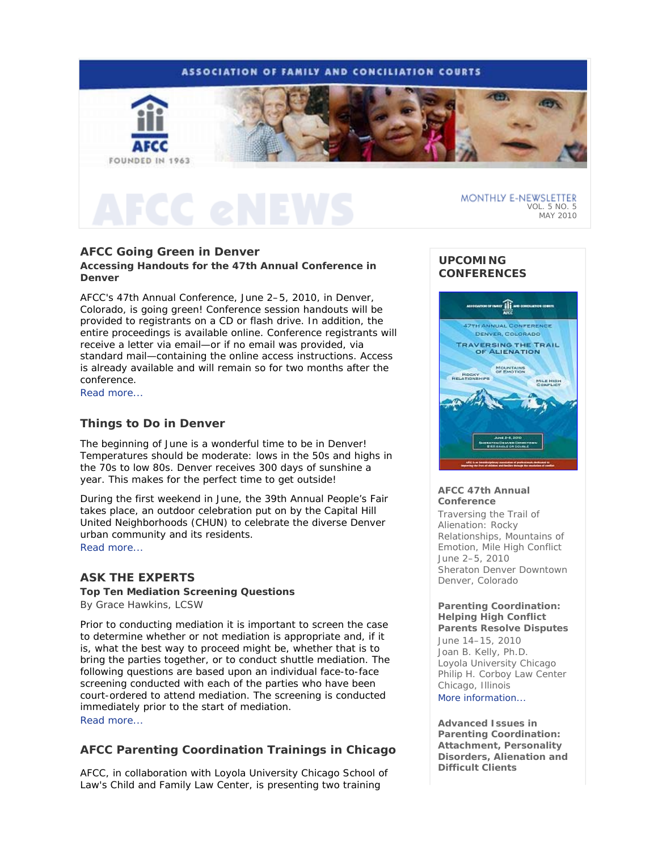

# **AFCC Going Green in Denver**

**Accessing Handouts for the 47th Annual Conference in Denver** 

AFCC's 47th Annual Conference, June 2–5, 2010, in Denver, Colorado, is going green! Conference session handouts will be provided to registrants on a CD or flash drive. In addition, the entire proceedings is available online. Conference registrants will receive a letter via email—or if no email was provided, via standard mail—containing the online access instructions. Access is already available and will remain so for two months after the conference.

Read more...

# **Things to Do in Denver**

The beginning of June is a wonderful time to be in Denver! Temperatures should be moderate: lows in the 50s and highs in the 70s to low 80s. Denver receives 300 days of sunshine a year. This makes for the perfect time to get outside!

During the first weekend in June, the 39th Annual People's Fair takes place, an outdoor celebration put on by the Capital Hill United Neighborhoods (CHUN) to celebrate the diverse Denver urban community and its residents.

Read more...

# **ASK THE EXPERTS**

**Top Ten Mediation Screening Questions**  *By Grace Hawkins, LCSW* 

Prior to conducting mediation it is important to screen the case to determine whether or not mediation is appropriate and, if it is, what the best way to proceed might be, whether that is to bring the parties together, or to conduct shuttle mediation. The following questions are based upon an individual face-to-face screening conducted with each of the parties who have been court-ordered to attend mediation. The screening is conducted immediately prior to the start of mediation. Read more...

# **AFCC Parenting Coordination Trainings in Chicago**

AFCC, in collaboration with Loyola University Chicago School of Law's Child and Family Law Center, is presenting two training

## **UPCOMING CONFERENCES**



## **AFCC 47th Annual Conference**

*Traversing the Trail of Alienation: Rocky Relationships, Mountains of Emotion, Mile High Conflict* June 2–5, 2010 Sheraton Denver Downtown Denver, Colorado

### **Parenting Coordination: Helping High Conflict Parents Resolve Disputes**

June 14–15, 2010 Joan B. Kelly, Ph.D. Loyola University Chicago Philip H. Corboy Law Center Chicago, Illinois More information...

**Advanced Issues in Parenting Coordination: Attachment, Personality Disorders, Alienation and Difficult Clients**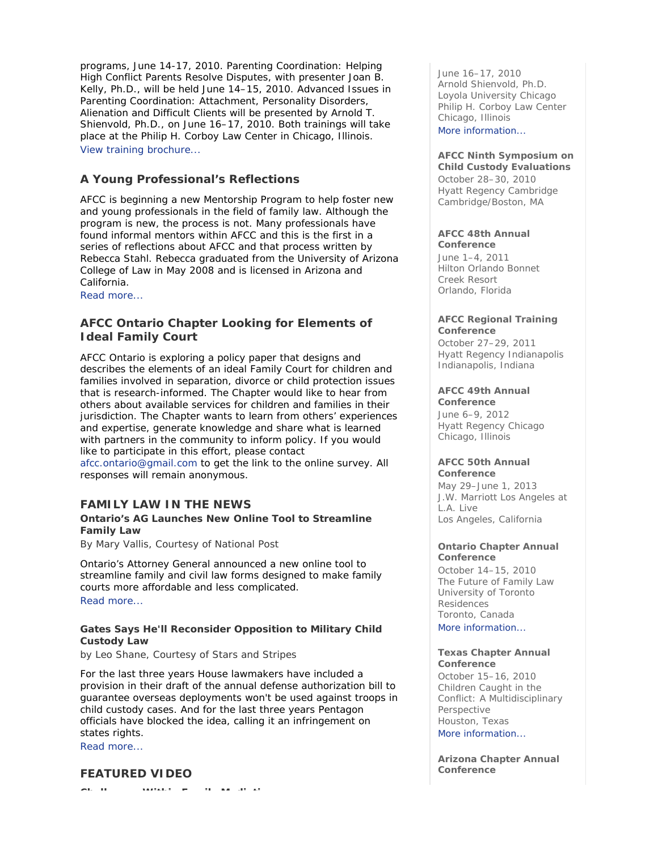programs, June 14-17, 2010. *Parenting Coordination: Helping High Conflict Parents Resolve Disputes,* with presenter Joan B. Kelly, Ph.D., will be held June 14–15, 2010. *Advanced Issues in Parenting Coordination: Attachment, Personality Disorders, Alienation and Difficult Clients* will be presented by Arnold T. Shienvold, Ph.D., on June 16–17, 2010. Both trainings will take place at the Philip H. Corboy Law Center in Chicago, Illinois. View training brochure...

# **A Young Professional's Reflections**

AFCC is beginning a new Mentorship Program to help foster new and young professionals in the field of family law. Although the program is new, the process is not. Many professionals have found informal mentors within AFCC and this is the first in a series of reflections about AFCC and that process written by Rebecca Stahl. Rebecca graduated from the University of Arizona College of Law in May 2008 and is licensed in Arizona and California.

Read more...

# **AFCC Ontario Chapter Looking for Elements of Ideal Family Court**

AFCC Ontario is exploring a policy paper that designs and describes the elements of an ideal Family Court for children and families involved in separation, divorce or child protection issues that is research-informed. The Chapter would like to hear from others about available services for children and families in their jurisdiction. The Chapter wants to learn from others' experiences and expertise, generate knowledge and share what is learned with partners in the community to inform policy. If you would like to participate in this effort, please contact afcc.ontario@gmail.com to get the link to the online survey. All responses will remain anonymous.

# **FAMILY LAW IN THE NEWS**

## **Ontario's AG Launches New Online Tool to Streamline Family Law**

*By Mary Vallis, Courtesy of National Post* 

Ontario's Attorney General announced a new online tool to streamline family and civil law forms designed to make family courts more affordable and less complicated. Read more...

## **Gates Says He'll Reconsider Opposition to Military Child Custody Law**

*by Leo Shane, Courtesy of Stars and Stripes* 

For the last three years House lawmakers have included a provision in their draft of the annual defense authorization bill to guarantee overseas deployments won't be used against troops in child custody cases. And for the last three years Pentagon officials have blocked the idea, calling it an infringement on states rights.

Read more...

## **FEATURED VIDEO**

**Ch ll Withi F il M di ti**

June 16–17, 2010 Arnold Shienvold, Ph.D. Loyola University Chicago Philip H. Corboy Law Center Chicago, Illinois More information...

# **AFCC Ninth Symposium on**

**Child Custody Evaluations**  October 28–30, 2010 Hyatt Regency Cambridge Cambridge/Boston, MA

# **AFCC 48th Annual**

**Conference** June 1–4, 2011 Hilton Orlando Bonnet Creek Resort Orlando, Florida

## **AFCC Regional Training Conference**

October 27–29, 2011 Hyatt Regency Indianapolis Indianapolis, Indiana

# **AFCC 49th Annual**

**Conference** June 6–9, 2012 Hyatt Regency Chicago Chicago, Illinois

#### **AFCC 50th Annual Conference**

May 29–June 1, 2013 J.W. Marriott Los Angeles at L.A. Live Los Angeles, California

## **Ontario Chapter Annual Conference**

October 14–15, 2010 *The Future of Family Law*  University of Toronto Residences Toronto, Canada More information...

### **Texas Chapter Annual Conference**

October 15–16, 2010 *Children Caught in the Conflict: A Multidisciplinary Perspective* Houston, Texas More information...

**Arizona Chapter Annual Conference**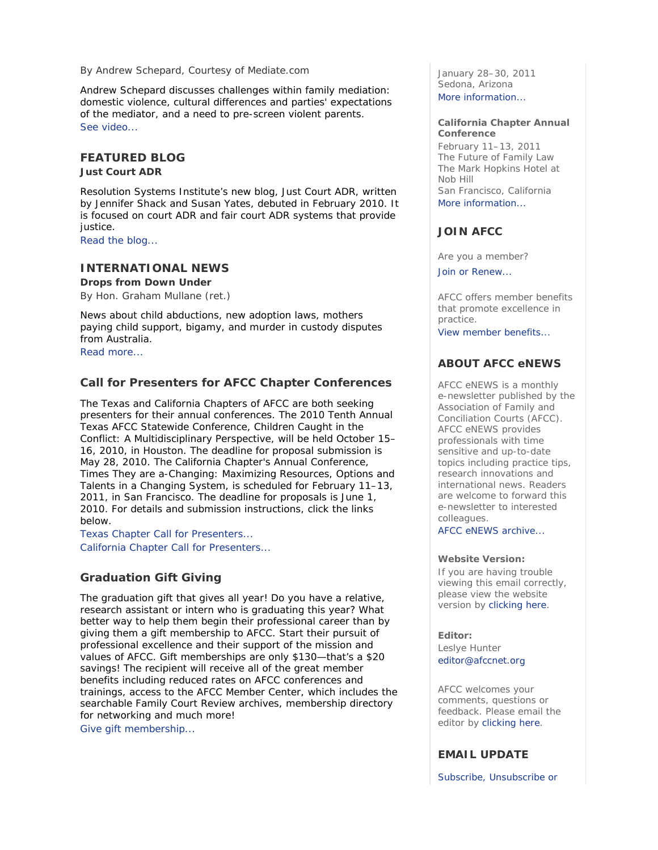## *By Andrew Schepard, Courtesy of Mediate.com*

Andrew Schepard discusses challenges within family mediation: domestic violence, cultural differences and parties' expectations of the mediator, and a need to pre-screen violent parents. See video...

## **FEATURED BLOG**

**Just Court ADR** 

Resolution Systems Institute's new blog, *Just Court ADR*, written by Jennifer Shack and Susan Yates, debuted in February 2010. It is focused on court ADR and fair court ADR systems that provide justice.

Read the blog...

## **INTERNATIONAL NEWS**

## **Drops from Down Under**

*By Hon. Graham Mullane (ret.)* 

News about child abductions, new adoption laws, mothers paying child support, bigamy, and murder in custody disputes from Australia. Read more...

## **Call for Presenters for AFCC Chapter Conferences**

The Texas and California Chapters of AFCC are both seeking presenters for their annual conferences. The 2010 Tenth Annual Texas AFCC Statewide Conference, *Children Caught in the Conflict: A Multidisciplinary Perspective*, will be held October 15– 16, 2010, in Houston. The deadline for proposal submission is May 28, 2010. The California Chapter's Annual Conference, *Times They are a-Changing: Maximizing Resources, Options and Talents in a Changing System*, is scheduled for February 11–13, 2011, in San Francisco. The deadline for proposals is June 1, 2010. For details and submission instructions, click the links below.

Texas Chapter Call for Presenters... California Chapter Call for Presenters...

## **Graduation Gift Giving**

The graduation gift that gives all year! Do you have a relative, research assistant or intern who is graduating this year? What better way to help them begin their professional career than by giving them a gift membership to AFCC. Start their pursuit of professional excellence and their support of the mission and values of AFCC. Gift memberships are only \$130—that's a \$20 savings! The recipient will receive all of the great member benefits including reduced rates on AFCC conferences and trainings, access to the AFCC Member Center, which includes the searchable *Family Court Review* archives, membership directory for networking and much more!

Give gift membership...

January 28–30, 2011 Sedona, Arizona More information...

### **California Chapter Annual Conference**

February 11–13, 2011 *The Future of Family Law*  The Mark Hopkins Hotel at Nob Hill San Francisco, California More information...

## **JOIN AFCC**

Are you a member?

Join or Renew...

AFCC offers member benefits that promote excellence in practice.

View member benefits...

## **ABOUT AFCC eNEWS**

*AFCC eNEWS* is a monthly e-newsletter published by the Association of Family and Conciliation Courts (AFCC). *AFCC eNEWS* provides professionals with time sensitive and up-to-date topics including practice tips, research innovations and international news. Readers are welcome to forward this e-newsletter to interested colleagues.

AFCC eNEWS archive...

### **Website Version:**

If you are having trouble viewing this email correctly, please view the website version by clicking here.

### **Editor:**

Leslye Hunter editor@afccnet.org

AFCC welcomes your comments, questions or feedback. Please email the editor by clicking here.

## **EMAIL UPDATE**

Subscribe, Unsubscribe or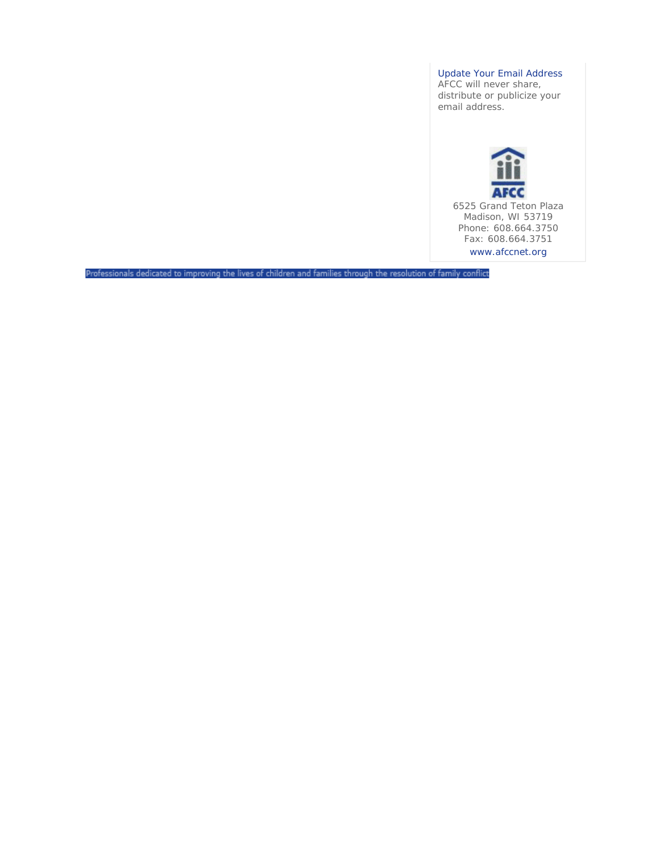Update Your Email Address

AFCC will never share, distribute or publicize your email address.



6525 Grand Teton Plaza Madison, WI 53719 Phone: 608.664.3750 Fax: 608.664.3751 www.afccnet.org

Professionals dedicated to improving the lives of children and families through the resolution of family conflict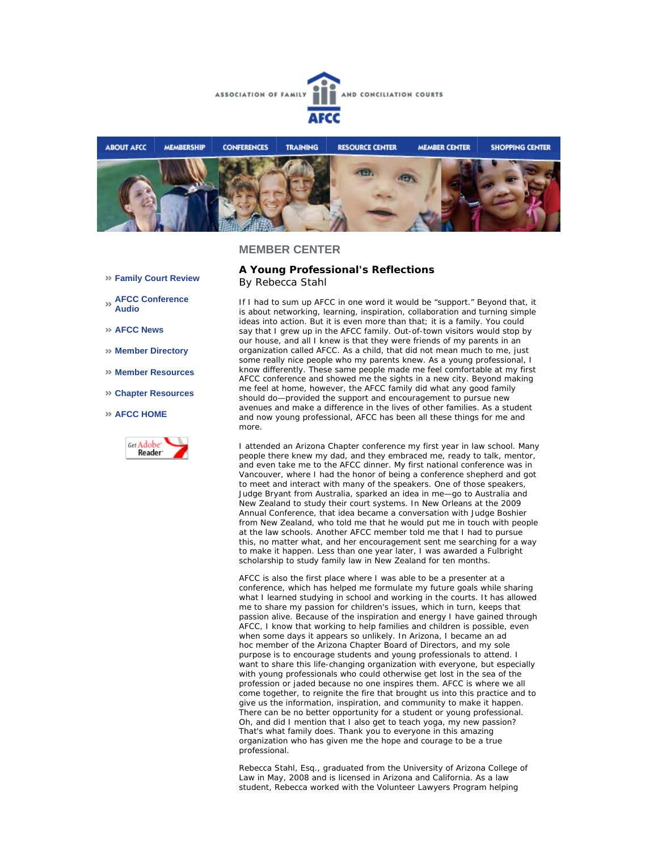



- **Family Court Review**
- **AFCC Conference Audio**
- **AFCC News**
- **Member Directory**
- **Member Resources**
- **Chapter Resources**

#### **AFCC HOME**



**A Young Professional's Reflections** *By Rebecca Stahl*

If I had to sum up AFCC in one word it would be "support." Beyond that, it is about networking, learning, inspiration, collaboration and turning simple ideas into action. But it is even more than that; it is a family. You could say that I grew up in the AFCC family. Out-of-town visitors would stop by our house, and all I knew is that they were friends of my parents in an organization called AFCC. As a child, that did not mean much to me, just some really nice people who my parents knew. As a young professional, I know differently. These same people made me feel comfortable at my first AFCC conference and showed me the sights in a new city. Beyond making me feel at home, however, the AFCC family did what any good family should do—provided the support and encouragement to pursue new avenues and make a difference in the lives of other families. As a student and now young professional, AFCC has been all these things for me and more.

I attended an Arizona Chapter conference my first year in law school. Many people there knew my dad, and they embraced me, ready to talk, mentor, and even take me to the AFCC dinner. My first national conference was in Vancouver, where I had the honor of being a conference shepherd and got to meet and interact with many of the speakers. One of those speakers, Judge Bryant from Australia, sparked an idea in me—go to Australia and New Zealand to study their court systems. In New Orleans at the 2009 Annual Conference, that idea became a conversation with Judge Boshier from New Zealand, who told me that he would put me in touch with people at the law schools. Another AFCC member told me that I had to pursue this, no matter what, and her encouragement sent me searching for a way to make it happen. Less than one year later, I was awarded a Fulbright scholarship to study family law in New Zealand for ten months.

AFCC is also the first place where I was able to be a presenter at a conference, which has helped me formulate my future goals while sharing what I learned studying in school and working in the courts. It has allowed me to share my passion for children's issues, which in turn, keeps that passion alive. Because of the inspiration and energy I have gained through AFCC, I know that working to help families and children is possible, even when some days it appears so unlikely. In Arizona, I became an *ad hoc* member of the Arizona Chapter Board of Directors, and my sole purpose is to encourage students and young professionals to attend. I want to share this life-changing organization with everyone, but especially with young professionals who could otherwise get lost in the sea of the profession or jaded because no one inspires them. AFCC is where we all come together, to reignite the fire that brought us into this practice and to give us the information, inspiration, and community to make it happen. There can be no better opportunity for a student or young professional. Oh, and did I mention that I also get to teach yoga, my new passion? That's what family does. Thank you to everyone in this amazing organization who has given me the hope and courage to be a true professional.

*Rebecca Stahl, Esq., graduated from the University of Arizona College of Law in May, 2008 and is licensed in Arizona and California. As a law student, Rebecca worked with the Volunteer Lawyers Program helping*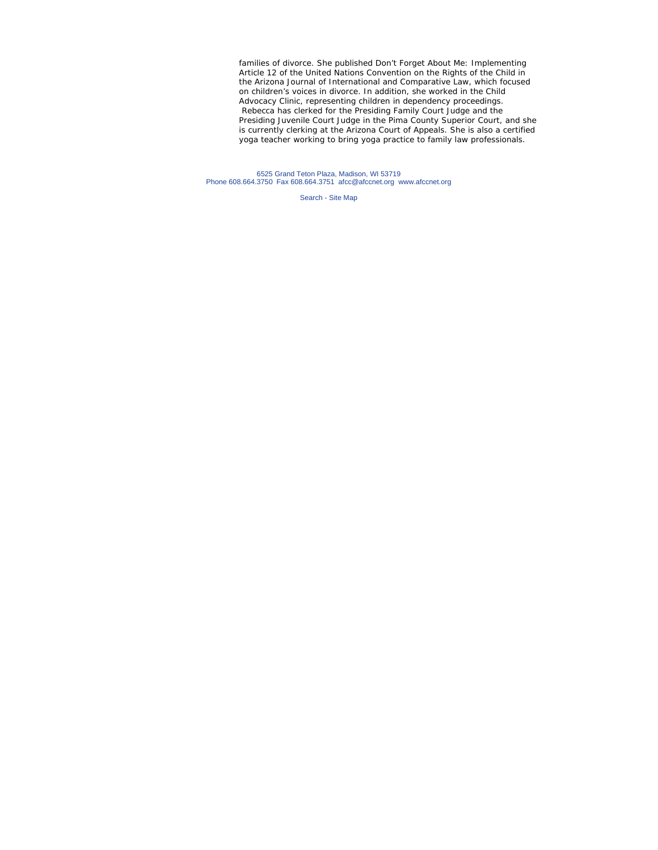*families of divorce. She published* Don't Forget About Me: Implementing Article 12 of the United Nations Convention on the Rights of the Child *in the Arizona Journal of International and Comparative Law, which focused on children's voices in divorce. In addition, she worked in the Child Advocacy Clinic, representing children in dependency proceedings. Rebecca has clerked for the Presiding Family Court Judge and the Presiding Juvenile Court Judge in the Pima County Superior Court, and she is currently clerking at the Arizona Court of Appeals. She is also a certified yoga teacher working to bring yoga practice to family law professionals.*

6525 Grand Teton Plaza, Madison, WI 53719 Phone 608.664.3750 Fax 608.664.3751 afcc@afccnet.org www.afccnet.org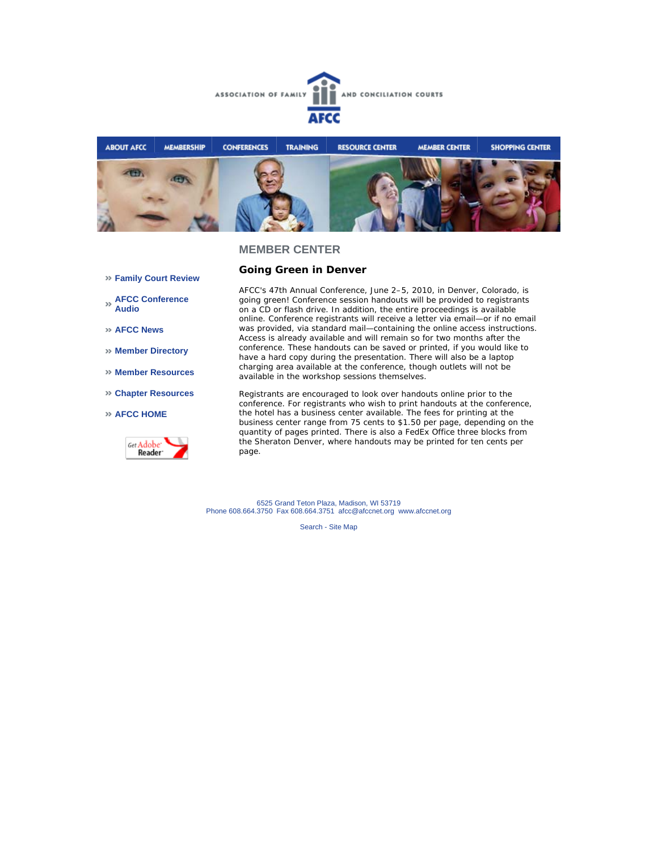



**Going Green in Denver** 

## **Family Court Review**

**AFCC Conference Audio** 

- **AFCC News**
- **Member Directory**
- **Member Resources**
- **Chapter Resources**

### **AFCC HOME**



AFCC's 47th Annual Conference, June 2–5, 2010, in Denver, Colorado, is going green! Conference session handouts will be provided to registrants on a CD or flash drive. In addition, the entire proceedings is available online. Conference registrants will receive a letter via email—or if no email was provided, via standard mail—containing the online access instructions. Access is already available and will remain so for two months after the conference. These handouts can be saved or printed, if you would like to have a hard copy during the presentation. There will also be a laptop charging area available at the conference, though outlets will not be available in the workshop sessions themselves.

Registrants are encouraged to look over handouts online prior to the conference. For registrants who wish to print handouts at the conference, the hotel has a business center available. The fees for printing at the business center range from 75 cents to \$1.50 per page, depending on the quantity of pages printed. There is also a FedEx Office three blocks from the Sheraton Denver, where handouts may be printed for ten cents per page.

6525 Grand Teton Plaza, Madison, WI 53719 Phone 608.664.3750 Fax 608.664.3751 afcc@afccnet.org www.afccnet.org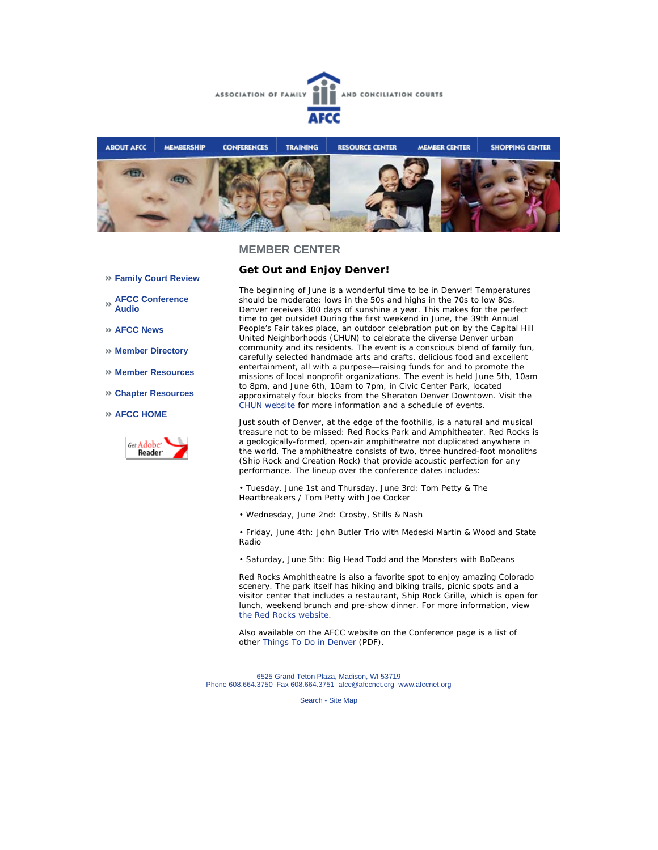



**Get Out and Enjoy Denver!** 

- **Family Court Review**
- **AFCC Conference Audio**
- **AFCC News**
- **Member Directory**
- **Member Resources**
- **Chapter Resources**
- **AFCC HOME**



The beginning of June is a wonderful time to be in Denver! Temperatures should be moderate: lows in the 50s and highs in the 70s to low 80s. Denver receives 300 days of sunshine a year. This makes for the perfect time to get outside! During the first weekend in June, the 39th Annual People's Fair takes place, an outdoor celebration put on by the Capital Hill United Neighborhoods (CHUN) to celebrate the diverse Denver urban community and its residents. The event is a conscious blend of family fun, carefully selected handmade arts and crafts, delicious food and excellent entertainment, all with a purpose—raising funds for and to promote the missions of local nonprofit organizations. The event is held June 5th, 10am to 8pm, and June 6th, 10am to 7pm, in Civic Center Park, located approximately four blocks from the Sheraton Denver Downtown. Visit the CHUN website for more information and a schedule of events.

Just south of Denver, at the edge of the foothills, is a natural and musical treasure not to be missed: Red Rocks Park and Amphitheater. Red Rocks is a geologically-formed, open-air amphitheatre not duplicated anywhere in the world. The amphitheatre consists of two, three hundred-foot monoliths (Ship Rock and Creation Rock) that provide acoustic perfection for any performance. The lineup over the conference dates includes:

• Tuesday, June 1st and Thursday, June 3rd: Tom Petty & The Heartbreakers / Tom Petty with Joe Cocker

• Wednesday, June 2nd: Crosby, Stills & Nash

• Friday, June 4th: John Butler Trio with Medeski Martin & Wood and State Radio

• Saturday, June 5th: Big Head Todd and the Monsters with BoDeans

Red Rocks Amphitheatre is also a favorite spot to enjoy amazing Colorado scenery. The park itself has hiking and biking trails, picnic spots and a visitor center that includes a restaurant, Ship Rock Grille, which is open for lunch, weekend brunch and pre-show dinner. For more information, view the Red Rocks website.

Also available on the AFCC website on the Conference page is a list of other Things To Do in Denver (PDF).

6525 Grand Teton Plaza, Madison, WI 53719 Phone 608.664.3750 Fax 608.664.3751 afcc@afccnet.org www.afccnet.org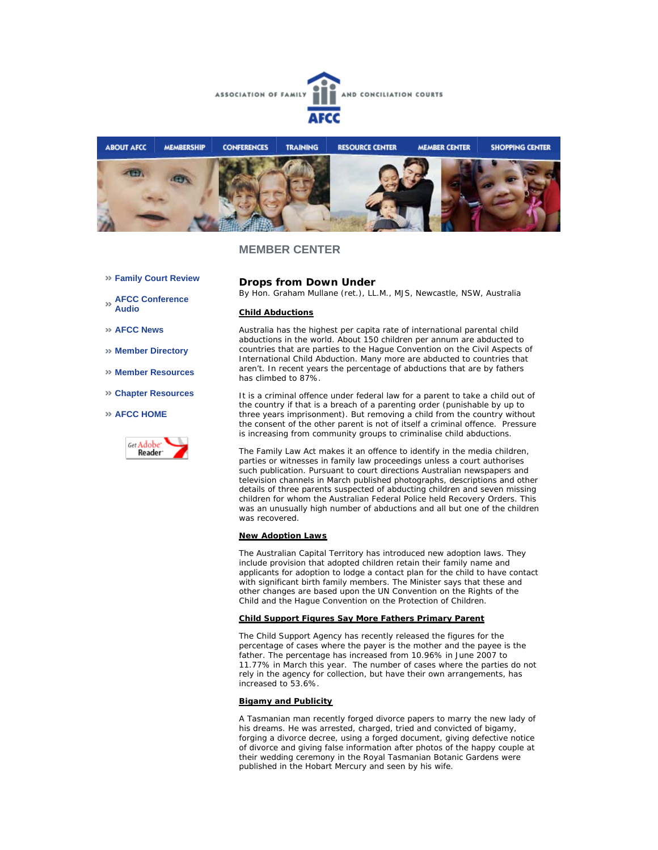



- **Family Court Review**
- **AFCC Conference Audio**
- **AFCC News**
- **Member Directory**
- **Member Resources**
- **Chapter Resources**
- **AFCC HOME**



## **Drops from Down Under**

*By Hon. Graham Mullane (ret.), LL.M., MJS, Newcastle, NSW, Australia*

#### **Child Abductions**

Australia has the highest per capita rate of international parental child abductions in the world. About 150 children per annum are abducted to countries that are parties to the Hague Convention on the Civil Aspects of International Child Abduction. Many more are abducted to countries that aren't. In recent years the percentage of abductions that are by fathers has climbed to 87%.

It is a criminal offence under federal law for a parent to take a child out of the country if that is a breach of a parenting order (punishable by up to three years imprisonment). But removing a child from the country without the consent of the other parent is not of itself a criminal offence. Pressure is increasing from community groups to criminalise child abductions.

The Family Law Act makes it an offence to identify in the media children, parties or witnesses in family law proceedings unless a court authorises such publication. Pursuant to court directions Australian newspapers and television channels in March published photographs, descriptions and other details of three parents suspected of abducting children and seven missing children for whom the Australian Federal Police held Recovery Orders. This was an unusually high number of abductions and all but one of the children was recovered.

### **New Adoption Laws**

The Australian Capital Territory has introduced new adoption laws. They include provision that adopted children retain their family name and applicants for adoption to lodge a contact plan for the child to have contact with significant birth family members. The Minister says that these and other changes are based upon the UN Convention on the Rights of the Child and the Hague Convention on the Protection of Children.

#### **Child Support Figures Say More Fathers Primary Parent**

The Child Support Agency has recently released the figures for the percentage of cases where the payer is the mother and the payee is the father. The percentage has increased from 10.96% in June 2007 to 11.77% in March this year. The number of cases where the parties do not rely in the agency for collection, but have their own arrangements, has increased to 53.6%.

#### **Bigamy and Publicity**

A Tasmanian man recently forged divorce papers to marry the new lady of his dreams. He was arrested, charged, tried and convicted of bigamy, forging a divorce decree, using a forged document, giving defective notice of divorce and giving false information after photos of the happy couple at their wedding ceremony in the Royal Tasmanian Botanic Gardens were published in the Hobart Mercury and seen by his wife.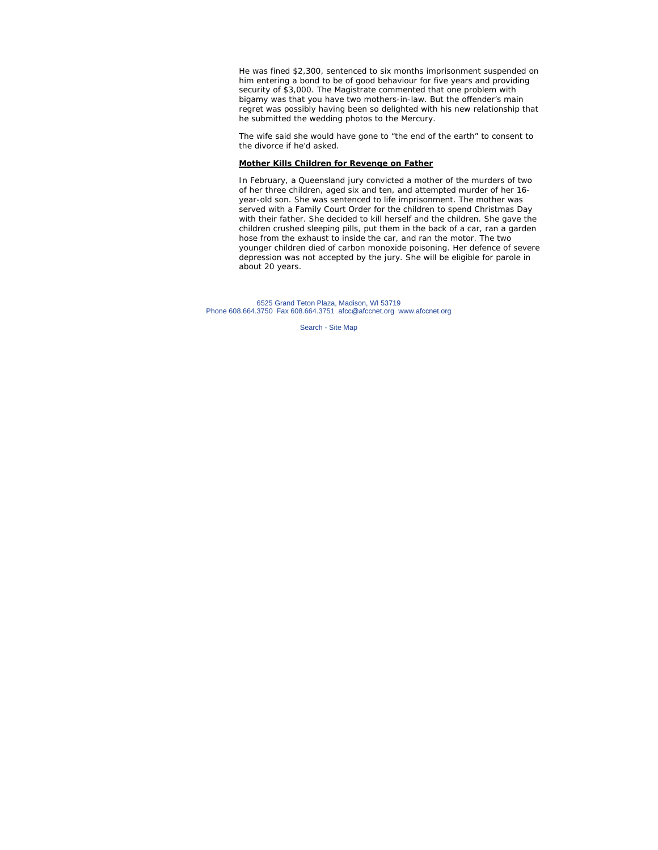He was fined \$2,300, sentenced to six months imprisonment suspended on him entering a bond to be of good behaviour for five years and providing security of \$3,000. The Magistrate commented that one problem with bigamy was that you have two mothers-in-law. But the offender's main regret was possibly having been so delighted with his new relationship that he submitted the wedding photos to the Mercury.

The wife said she would have gone to "the end of the earth" to consent to the divorce if he'd asked.

## **Mother Kills Children for Revenge on Father**

In February, a Queensland jury convicted a mother of the murders of two of her three children, aged six and ten, and attempted murder of her 16 year-old son. She was sentenced to life imprisonment. The mother was served with a Family Court Order for the children to spend Christmas Day with their father. She decided to kill herself and the children. She gave the children crushed sleeping pills, put them in the back of a car, ran a garden hose from the exhaust to inside the car, and ran the motor. The two younger children died of carbon monoxide poisoning. Her defence of severe depression was not accepted by the jury. She will be eligible for parole in about 20 years.

6525 Grand Teton Plaza, Madison, WI 53719 Phone 608.664.3750 Fax 608.664.3751 afcc@afccnet.org www.afccnet.org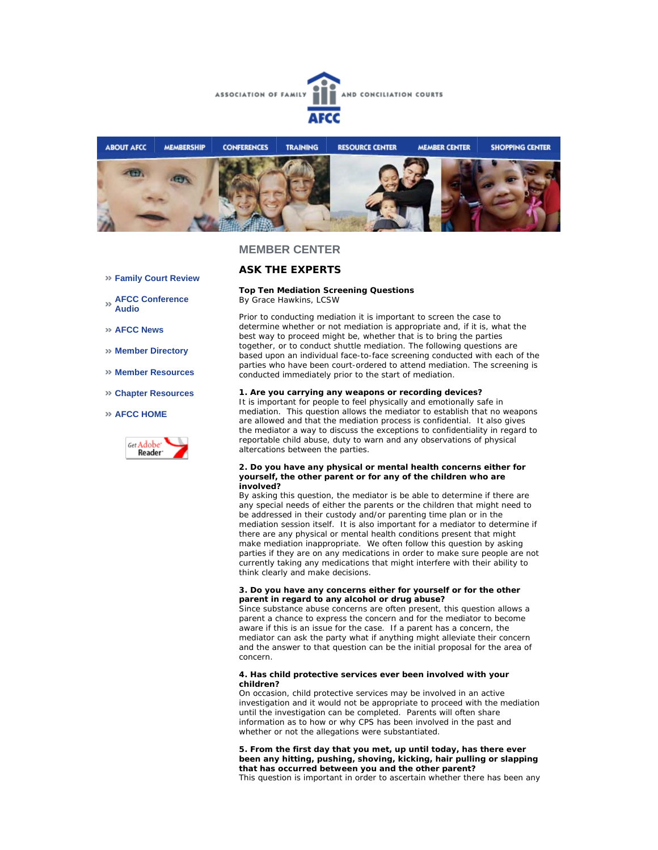



## **ASK THE EXPERTS**

## **Top Ten Mediation Screening Questions**

*By Grace Hawkins, LCSW* 

Prior to conducting mediation it is important to screen the case to determine whether or not mediation is appropriate and, if it is, what the best way to proceed might be, whether that is to bring the parties together, or to conduct shuttle mediation. The following questions are based upon an individual face-to-face screening conducted with each of the parties who have been court-ordered to attend mediation. The screening is conducted immediately prior to the start of mediation.

#### **1. Are you carrying any weapons or recording devices?**

It is important for people to feel physically and emotionally safe in mediation. This question allows the mediator to establish that no weapons are allowed and that the mediation process is confidential. It also gives the mediator a way to discuss the exceptions to confidentiality in regard to reportable child abuse, duty to warn and any observations of physical altercations between the parties.

#### **2. Do you have any physical or mental health concerns either for yourself, the other parent or for any of the children who are involved?**

By asking this question, the mediator is be able to determine if there are any special needs of either the parents or the children that might need to be addressed in their custody and/or parenting time plan or in the mediation session itself. It is also important for a mediator to determine if there are any physical or mental health conditions present that might make mediation inappropriate. We often follow this question by asking parties if they are on any medications in order to make sure people are not currently taking any medications that might interfere with their ability to think clearly and make decisions.

#### **3. Do you have any concerns either for yourself or for the other parent in regard to any alcohol or drug abuse?**

Since substance abuse concerns are often present, this question allows a parent a chance to express the concern and for the mediator to become aware if this is an issue for the case. If a parent has a concern, the mediator can ask the party what if anything might alleviate their concern and the answer to that question can be the initial proposal for the area of concern.

#### **4. Has child protective services ever been involved with your children?**

On occasion, child protective services may be involved in an active investigation and it would not be appropriate to proceed with the mediation until the investigation can be completed. Parents will often share information as to how or why CPS has been involved in the past and whether or not the allegations were substantiated.

**5. From the first day that you met, up until today, has there ever been any hitting, pushing, shoving, kicking, hair pulling or slapping that has occurred between you and the other parent?** 

This question is important in order to ascertain whether there has been any

- **Family Court Review**
- **AFCC Conference Audio**
- **AFCC News**
- **Member Directory**
- **Member Resources**
- **Chapter Resources**

#### **AFCC HOME**